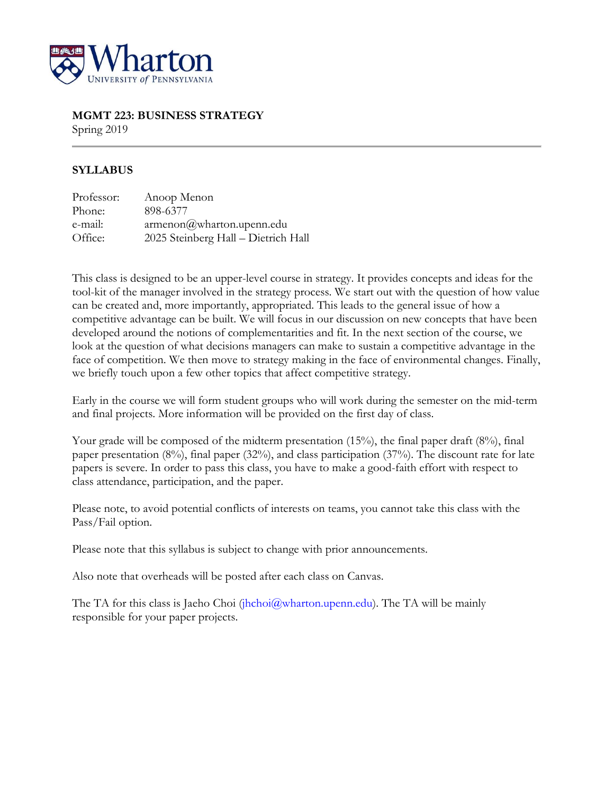

# **MGMT 223: BUSINESS STRATEGY**

Spring 2019

# **SYLLABUS**

| Professor: | Anoop Menon                         |
|------------|-------------------------------------|
| Phone:     | 898-6377                            |
| e-mail:    | armenon@wharton.upenn.edu           |
| Office:    | 2025 Steinberg Hall - Dietrich Hall |

This class is designed to be an upper-level course in strategy. It provides concepts and ideas for the tool-kit of the manager involved in the strategy process. We start out with the question of how value can be created and, more importantly, appropriated. This leads to the general issue of how a competitive advantage can be built. We will focus in our discussion on new concepts that have been developed around the notions of complementarities and fit. In the next section of the course, we look at the question of what decisions managers can make to sustain a competitive advantage in the face of competition. We then move to strategy making in the face of environmental changes. Finally, we briefly touch upon a few other topics that affect competitive strategy.

Early in the course we will form student groups who will work during the semester on the mid-term and final projects. More information will be provided on the first day of class.

Your grade will be composed of the midterm presentation (15%), the final paper draft (8%), final paper presentation (8%), final paper (32%), and class participation (37%). The discount rate for late papers is severe. In order to pass this class, you have to make a good-faith effort with respect to class attendance, participation, and the paper.

Please note, to avoid potential conflicts of interests on teams, you cannot take this class with the Pass/Fail option.

Please note that this syllabus is subject to change with prior announcements.

Also note that overheads will be posted after each class on Canvas.

The TA for this class is Jaeho Choi (jhchoi $@$ wharton.upenn.edu). The TA will be mainly responsible for your paper projects.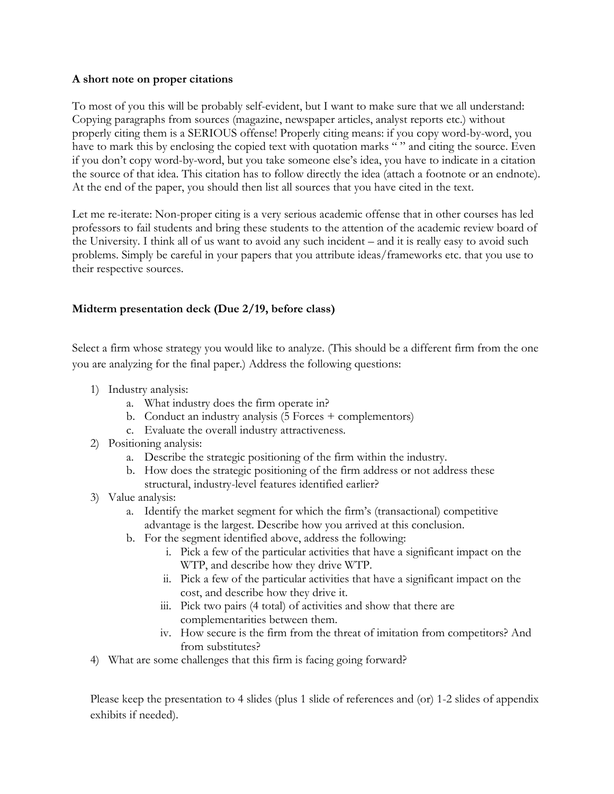#### **A short note on proper citations**

To most of you this will be probably self-evident, but I want to make sure that we all understand: Copying paragraphs from sources (magazine, newspaper articles, analyst reports etc.) without properly citing them is a SERIOUS offense! Properly citing means: if you copy word-by-word, you have to mark this by enclosing the copied text with quotation marks "" and citing the source. Even if you don't copy word-by-word, but you take someone else's idea, you have to indicate in a citation the source of that idea. This citation has to follow directly the idea (attach a footnote or an endnote). At the end of the paper, you should then list all sources that you have cited in the text.

Let me re-iterate: Non-proper citing is a very serious academic offense that in other courses has led professors to fail students and bring these students to the attention of the academic review board of the University. I think all of us want to avoid any such incident – and it is really easy to avoid such problems. Simply be careful in your papers that you attribute ideas/frameworks etc. that you use to their respective sources.

# **Midterm presentation deck (Due 2/19, before class)**

Select a firm whose strategy you would like to analyze. (This should be a different firm from the one you are analyzing for the final paper.) Address the following questions:

- 1) Industry analysis:
	- a. What industry does the firm operate in?
	- b. Conduct an industry analysis (5 Forces + complementors)
	- c. Evaluate the overall industry attractiveness.
- 2) Positioning analysis:
	- a. Describe the strategic positioning of the firm within the industry.
	- b. How does the strategic positioning of the firm address or not address these structural, industry-level features identified earlier?
- 3) Value analysis:
	- a. Identify the market segment for which the firm's (transactional) competitive advantage is the largest. Describe how you arrived at this conclusion.
	- b. For the segment identified above, address the following:
		- i. Pick a few of the particular activities that have a significant impact on the WTP, and describe how they drive WTP.
		- ii. Pick a few of the particular activities that have a significant impact on the cost, and describe how they drive it.
		- iii. Pick two pairs (4 total) of activities and show that there are complementarities between them.
		- iv. How secure is the firm from the threat of imitation from competitors? And from substitutes?
- 4) What are some challenges that this firm is facing going forward?

Please keep the presentation to 4 slides (plus 1 slide of references and (or) 1-2 slides of appendix exhibits if needed).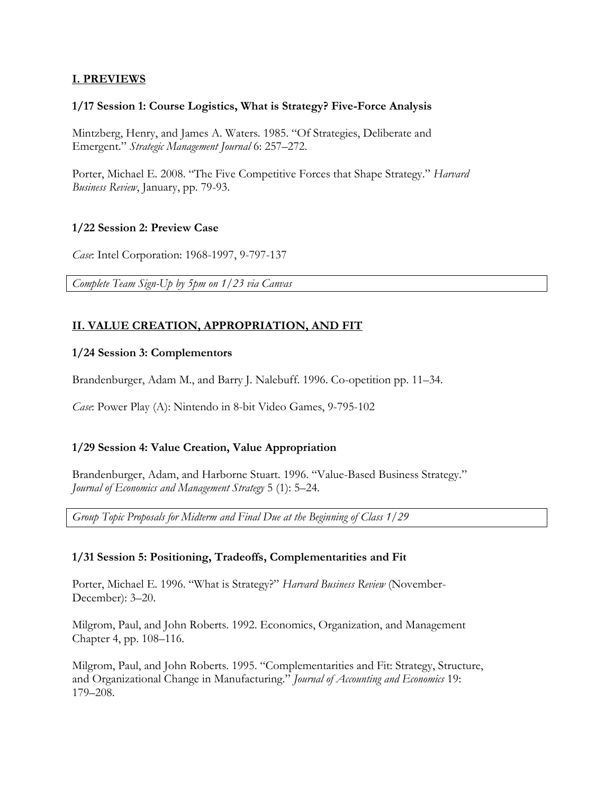# **I. PREVIEWS**

#### **1/17 Session 1: Course Logistics, What is Strategy? Five-Force Analysis**

Mintzberg, Henry, and James A. Waters. 1985. "Of Strategies, Deliberate and Emergent." *Strategic Management Journal* 6: 257–272.

Porter, Michael E. 2008. "The Five Competitive Forces that Shape Strategy." *Harvard Business Review*, January, pp. 79-93.

#### **1/22 Session 2: Preview Case**

*Case*: Intel Corporation: 1968-1997, 9-797-137

*Complete Team Sign-Up by 5pm on 1/23 via Canvas*

# **II. VALUE CREATION, APPROPRIATION, AND FIT**

#### **1/24 Session 3: Complementors**

Brandenburger, Adam M., and Barry J. Nalebuff. 1996. Co-opetition pp. 11–34.

*Case*: Power Play (A): Nintendo in 8-bit Video Games, 9-795-102

## **1/29 Session 4: Value Creation, Value Appropriation**

Brandenburger, Adam, and Harborne Stuart. 1996. "Value-Based Business Strategy." *Journal of Economics and Management Strategy* 5 (1): 5–24.

*Group Topic Proposals for Midterm and Final Due at the Beginning of Class 1/29*

## **1/31 Session 5: Positioning, Tradeoffs, Complementarities and Fit**

Porter, Michael E. 1996. "What is Strategy?" *Harvard Business Review* (November-December): 3–20.

Milgrom, Paul, and John Roberts. 1992. Economics, Organization, and Management Chapter 4, pp. 108–116.

Milgrom, Paul, and John Roberts. 1995. "Complementarities and Fit: Strategy, Structure, and Organizational Change in Manufacturing." *Journal of Accounting and Economics* 19: 179–208.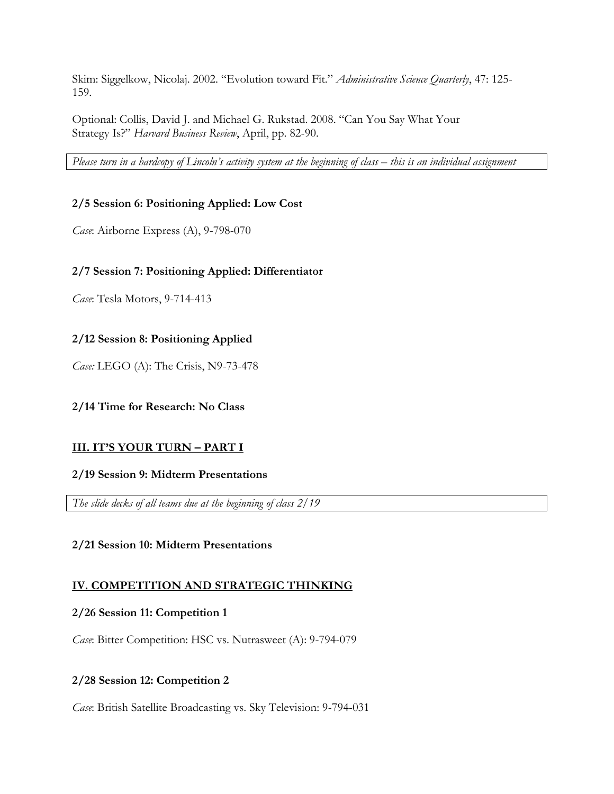Skim: Siggelkow, Nicolaj. 2002. "Evolution toward Fit." *Administrative Science Quarterly*, 47: 125- 159.

Optional: Collis, David J. and Michael G. Rukstad. 2008. "Can You Say What Your Strategy Is?" *Harvard Business Review*, April, pp. 82-90.

*Please turn in a hardcopy of Lincoln's activity system at the beginning of class – this is an individual assignment*

# **2/5 Session 6: Positioning Applied: Low Cost**

*Case*: Airborne Express (A), 9-798-070

## **2/7 Session 7: Positioning Applied: Differentiator**

*Case*: Tesla Motors, 9-714-413

## **2/12 Session 8: Positioning Applied**

*Case:* LEGO (A): The Crisis, N9-73-478

## **2/14 Time for Research: No Class**

## **III. IT'S YOUR TURN – PART I**

## **2/19 Session 9: Midterm Presentations**

*The slide decks of all teams due at the beginning of class 2/19*

## **2/21 Session 10: Midterm Presentations**

## **IV. COMPETITION AND STRATEGIC THINKING**

## **2/26 Session 11: Competition 1**

*Case*: Bitter Competition: HSC vs. Nutrasweet (A): 9-794-079

## **2/28 Session 12: Competition 2**

*Case*: British Satellite Broadcasting vs. Sky Television: 9-794-031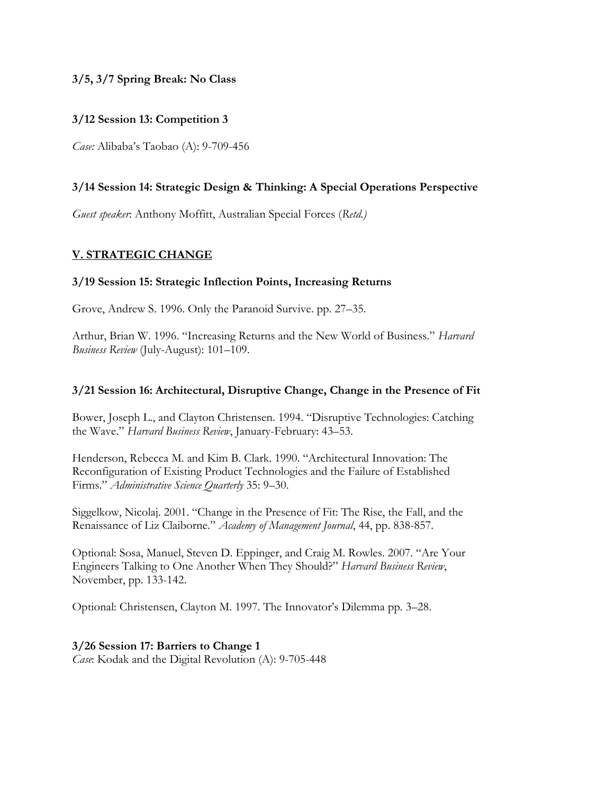# **3/5, 3/7 Spring Break: No Class**

## **3/12 Session 13: Competition 3**

*Case:* Alibaba's Taobao (A): 9-709-456

# **3/14 Session 14: Strategic Design & Thinking: A Special Operations Perspective**

*Guest speaker*: Anthony Moffitt, Australian Special Forces (*Retd.)*

# **V. STRATEGIC CHANGE**

#### **3/19 Session 15: Strategic Inflection Points, Increasing Returns**

Grove, Andrew S. 1996. Only the Paranoid Survive. pp. 27–35.

Arthur, Brian W. 1996. "Increasing Returns and the New World of Business." *Harvard Business Review* (July-August): 101–109.

#### **3/21 Session 16: Architectural, Disruptive Change, Change in the Presence of Fit**

Bower, Joseph L., and Clayton Christensen. 1994. "Disruptive Technologies: Catching the Wave." *Harvard Business Review*, January-February: 43–53.

Henderson, Rebecca M. and Kim B. Clark. 1990. "Architectural Innovation: The Reconfiguration of Existing Product Technologies and the Failure of Established Firms." *Administrative Science Quarterly* 35: 9–30.

Siggelkow, Nicolaj. 2001. "Change in the Presence of Fit: The Rise, the Fall, and the Renaissance of Liz Claiborne." *Academy of Management Journal*, 44, pp. 838-857.

Optional: Sosa, Manuel, Steven D. Eppinger, and Craig M. Rowles. 2007. "Are Your Engineers Talking to One Another When They Should?" *Harvard Business Review*, November, pp. 133-142.

Optional: Christensen, Clayton M. 1997. The Innovator's Dilemma pp. 3–28.

## **3/26 Session 17: Barriers to Change 1**

*Case*: Kodak and the Digital Revolution (A): 9-705-448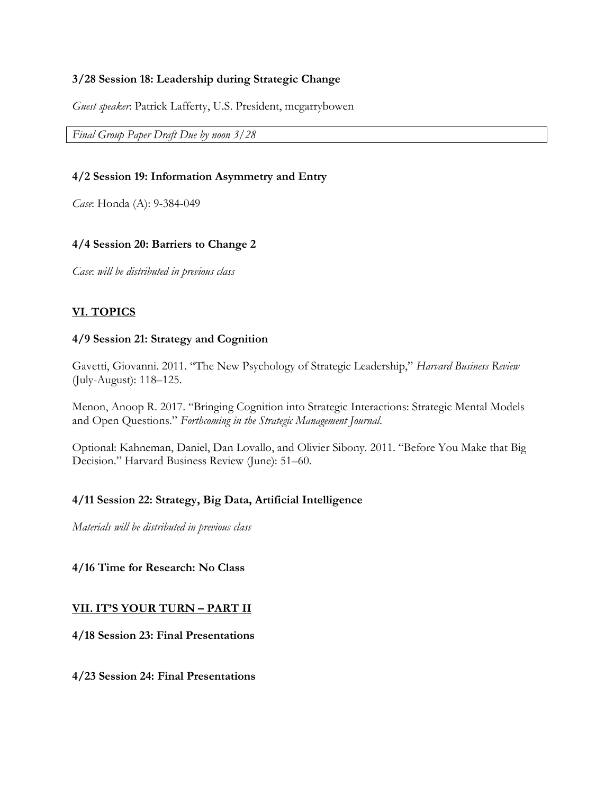## **3/28 Session 18: Leadership during Strategic Change**

*Guest speaker*: Patrick Lafferty, U.S. President, mcgarrybowen

*Final Group Paper Draft Due by noon 3/28*

#### **4/2 Session 19: Information Asymmetry and Entry**

*Case*: Honda (A): 9-384-049

#### **4/4 Session 20: Barriers to Change 2**

*Case*: *will be distributed in previous class*

## **VI. TOPICS**

#### **4/9 Session 21: Strategy and Cognition**

Gavetti, Giovanni. 2011. "The New Psychology of Strategic Leadership," *Harvard Business Review* (July-August): 118–125.

Menon, Anoop R. 2017. "Bringing Cognition into Strategic Interactions: Strategic Mental Models and Open Questions." *Forthcoming in the Strategic Management Journal*.

Optional: Kahneman, Daniel, Dan Lovallo, and Olivier Sibony. 2011. "Before You Make that Big Decision." Harvard Business Review (June): 51–60.

## **4/11 Session 22: Strategy, Big Data, Artificial Intelligence**

*Materials will be distributed in previous class*

## **4/16 Time for Research: No Class**

#### **VII. IT'S YOUR TURN – PART II**

**4/18 Session 23: Final Presentations**

**4/23 Session 24: Final Presentations**